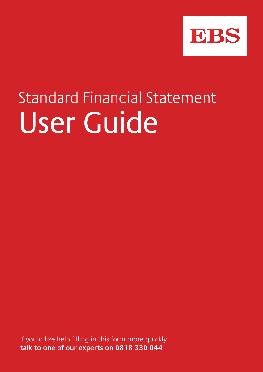

# Standard Financial Statement User Guide

If you'd like help filling in this form more quickly **talk to one of our experts on 0818 330 044**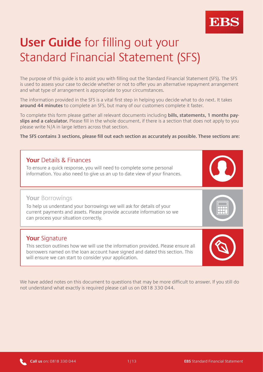

# **User Guide** for filling out your Standard Financial Statement (SFS)

The purpose of this guide is to assist you with filling out the Standard Financial Statement (SFS). The SFS is used to assess your case to decide whether or not to offer you an alternative repayment arrangement and what type of arrangement is appropriate to your circumstances.

The information provided in the SFS is a vital first step in helping you decide what to do next. It takes **around 44 minutes** to complete an SFS, but many of our customers complete it faster.

To complete this form please gather all relevant documents including **bills, statements, 1 months payslips and a calculator.** Please fill in the whole document, if there is a section that does not apply to you please write N/A in large letters across that section.

**The SFS contains 3 sections, please fill out each section as accurately as possible. These sections are:**

# **Your** Details & Finances To ensure a quick response, you will need to complete some personal information. You also need to give us an up to date view of your finances. **Your** Signature This section outlines how we will use the information provided. Please ensure all borrowers named on the loan account have signed and dated this section. This will ensure we can start to consider your application. **Your** Borrowings To help us understand your borrowings we will ask for details of your current payments and assets. Please provide accurate information so we can process your situation correctly.

We have added notes on this document to questions that may be more difficult to answer. If you still do not understand what exactly is required please call us on 0818 330 044.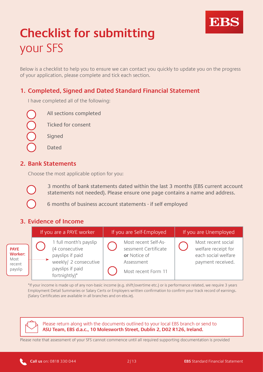

# **Checklist for submitting** your SFS

Below is a checklist to help you to ensure we can contact you quickly to update you on the progress of your application, please complete and tick each section.

## **1. Completed, Signed and Dated Standard Financial Statement**

I have completed all of the following:

All sections completed

Ticked for consent

Signed

Dated

#### **2. Bank Statements**

Choose the most applicable option for you:



3 months of bank statements dated within the last 3 months (EBS current account statements not needed). Please ensure one page contains a name and address.

6 months of business account statements - if self employed

### **3. Evidence of Income**

| If you are a PAYE worker                                   |                                                                                                                                            | If you are Self-Employed                                                                          | If you are Unemployed                                                                 |
|------------------------------------------------------------|--------------------------------------------------------------------------------------------------------------------------------------------|---------------------------------------------------------------------------------------------------|---------------------------------------------------------------------------------------|
| <b>PAYE</b><br><b>Worker:</b><br>Most<br>recent<br>payslip | 1 full month's payslip<br>(4 consecutive<br>payslips if paid<br>. <b>. .</b><br>weekly/ 2 consecutive<br>payslips if paid<br>fortnightly)* | Most recent Self-As-<br>sessment Certificate<br>or Notice of<br>Assessment<br>Most recent Form 11 | Most recent social<br>welfare receipt for<br>each social welfare<br>payment received. |

\*If your income is made up of any non-basic income (e.g. shift/overtime etc.) or is performance related, we require 3 years Employment Detail Summaries or Salary Certs or Employers written confirmation to confirm your track record of earnings. (Salary Certificates are available in all branches and on ebs.ie).

Please return along with the documents outlined to your local EBS branch or send to **ASU Team, EBS d.a.c., 10 Molesworth Street, Dublin 2, D02 R126, Ireland.**

Please note that assessment of your SFS cannot commence until all required supporting documentation is provided

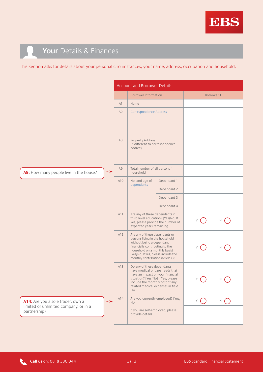

# **Your** Details & Finances

This Section asks for details about your personal circumstances, your name, address, occupation and household.

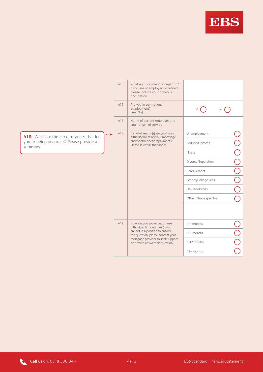

|                                                       | A15 | What is your current occupation?<br>If you are unemployed or retired,<br>please include your previous<br>occupation.                                                                                                |                        |  |
|-------------------------------------------------------|-----|---------------------------------------------------------------------------------------------------------------------------------------------------------------------------------------------------------------------|------------------------|--|
|                                                       | A16 | Are you in permanent<br>employment?<br>[Yes/No]                                                                                                                                                                     |                        |  |
|                                                       | A17 | Name of current employer and<br>your length of service                                                                                                                                                              |                        |  |
| $\cdots$<br>A18: What are the circumstances that led  | A18 | For what reason(s) are you having<br>difficulty meeting your mortgage                                                                                                                                               | Unemployment           |  |
| you to being in arrears? Please provide a<br>summary. |     | and/or other debt repayments?<br>Please select all that apply.                                                                                                                                                      | Reduced Income         |  |
|                                                       |     |                                                                                                                                                                                                                     | Illness                |  |
|                                                       |     |                                                                                                                                                                                                                     | Divorce/Separation     |  |
|                                                       |     |                                                                                                                                                                                                                     | Bereavement            |  |
|                                                       |     |                                                                                                                                                                                                                     | School/College Fees    |  |
|                                                       |     |                                                                                                                                                                                                                     | Household bills        |  |
|                                                       |     |                                                                                                                                                                                                                     | Other (Please specify) |  |
|                                                       |     |                                                                                                                                                                                                                     |                        |  |
|                                                       |     | How long do you expect these<br>difficulties to continue? (If you<br>are not in a position to answer<br>this question, please contact your<br>mortgage provider to seek support<br>on how to answer this question). | 0-3 months             |  |
|                                                       |     |                                                                                                                                                                                                                     | 3-6 months             |  |
|                                                       |     |                                                                                                                                                                                                                     | 6-12 months            |  |
|                                                       |     |                                                                                                                                                                                                                     | 12+ months             |  |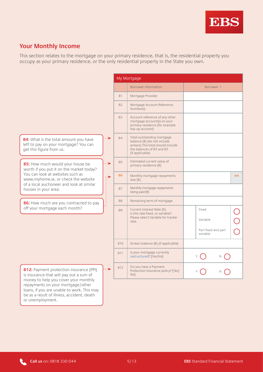

## **Your Monthly Income**

This section relates to the mortgage on your primary residence, that is, the residential property you occupy as your primary residence, or the only residential property in the State you own.

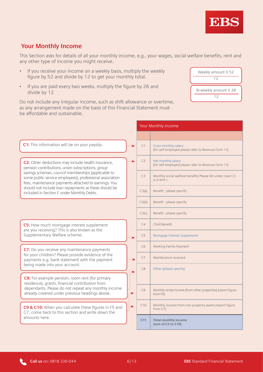# **Your Monthly Income**

be affordable and sustainable.

This Section asks for details of all your monthly income, e.g., your wages, social welfare benefits, rent and any other type of income you might receive.

- If you receive your income on a weekly basis, multiply the weekly figure by 52 and divide by 12 to get your monthly total.
- If you are paid every two weeks, multiply the figure by 26 and divide by 12

Do not include any irregular income, such as shift allowance or overtime, as any arrangement made on the basis of this Financial Statement must

Your Monthly Income **C1:** This information will be on your payslip. C1 | Gross monthly salary (for self-employed please refer to Revenue Form 11) C<sub>2</sub> Net monthly salary **C2:** Other deductions may include health insurance, (for self-employed please refer to Revenue Form 11) pension contributions, union subscriptions, group savings schemes, council memberships (applicable to C3 Monthly social welfare benefits Please list under rows C3 some public service employees), professional association a, b and c. fees, maintenance payments attached to earnings. You should not include loan repayments as these should be C3(a) Benefit - please specify included in Section E under Monthly Debts.  $C3(b)$  Benefit - please specify C3(c) Benefit - please specify C4 | Child Benefit **C5:** How much mortgage interest supplement are you receiving? This is also known as the Supplementary Welfare scheme. C5 Mortgage Interest Supplement C6 Working Family Payment **C7:** Do you receive any maintenance payments for your children? Please provide evidence of the C7 Maintenance received payments e.g. bank statement with the payment  $\ddotsc$ being made into your account. C8 Other (please specify)  $\leftrightarrow$ **C8:** For example pension, room rent (for primary residence), grants, financial contribution from dependants. Please do not repeat any monthly income C9 Monthly rental income (from other properties) (report figure already covered under previous headings above. $\cdot$ from F5) C10 | Monthly income from non-property assets (report figure i⇒ **C9 & C10:** When you calculate these figures in F5 and from G7) G7, come back to this section and write down the amounts here. **C11 Total monthly income (sum of C2 to C10)**



12



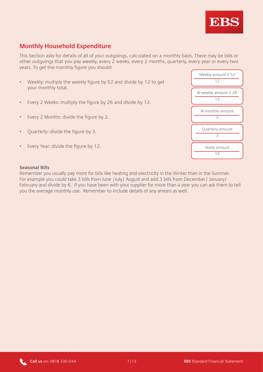

### **Monthly Household Expenditure**

This Section asks for details of all of your outgoings, calculated on a monthly basis. There may be bills or other outgoings that you pay weekly, every 2 weeks, every 2 months, quarterly, every year or every two years. To get the monthly figure you should:

- Weekly: multiply the weekly figure by 52 and divide by 12 to get your monthly total.
- Every 2 Weeks: multiply the figure by 26 and divide by 12.
- Every 2 Months: divide the figure by 2.
- Quarterly: divide the figure by 3.
- Every Year: divide the figure by 12.



#### **Seasonal Bills**

Remember you usually pay more for bills like heating and electricity in the Winter than in the Summer. For example you could take 3 bills from June /July/ August and add 3 bills from December/ January/ February and divide by 6. If you have been with your supplier for more than a year you can ask them to tell you the average monthly use. Remember to include details of any arrears as well.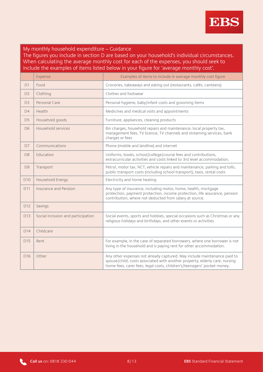

#### My monthly household expenditure – Guidance The figures you include in section D are based on your household's individual circumstances. When calculating the average monthly cost for each of the expenses, you should seek to include the examples of items listed below in your figure for 'average monthly cost'.

|                 | Expense                            | Examples of items to include in average monthly cost figure                                                                                                                                                                        |  |
|-----------------|------------------------------------|------------------------------------------------------------------------------------------------------------------------------------------------------------------------------------------------------------------------------------|--|
| D1              | Food                               | Groceries, takeaways and eating out (restaurants, cafés, canteens)                                                                                                                                                                 |  |
| D <sub>2</sub>  | Clothing                           | Clothes and footwear                                                                                                                                                                                                               |  |
| D <sub>3</sub>  | Personal Care                      | Personal hygiene, baby/infant costs and grooming items                                                                                                                                                                             |  |
| D4              | Health                             | Medicines and medical visits and appointments                                                                                                                                                                                      |  |
| D <sub>5</sub>  | Household goods                    | Furniture, appliances, cleaning products                                                                                                                                                                                           |  |
| D <sub>6</sub>  | Household services                 | Bin charges, household repairs and maintenance, local property tax,<br>management fees, TV licence, TV channels and streaming services, bank<br>charges or fees                                                                    |  |
| D7              | Communications                     | Phone (mobile and landline) and internet                                                                                                                                                                                           |  |
| D <sub>8</sub>  | Education                          | Uniforms, books, school/college/course fees and contributions,<br>extracurricular activities and costs linked to 3rd level accommodation.                                                                                          |  |
| D <sub>9</sub>  | Transport                          | Petrol, motor tax, NCT, vehicle repairs and maintenance, parking and tolls,<br>public transport costs (including school transport), taxis, rental costs                                                                            |  |
| D <sub>10</sub> | Household Energy                   | Electricity and home heating                                                                                                                                                                                                       |  |
| D11             | Insurance and Pension              | Any type of insurance, including motor, home, health, mortgage<br>protection, payment protection, income protection, life assurance, pension<br>contribution, where not deducted from salary at source.                            |  |
| D12             | Savings                            |                                                                                                                                                                                                                                    |  |
| D <sub>13</sub> | Social inclusion and participation | Social events, sports and hobbies, special occasions such as Christmas or any<br>religious holidays and birthdays, and other events or activities                                                                                  |  |
| D14             | Childcare                          |                                                                                                                                                                                                                                    |  |
| D15             | Rent                               | For example, in the case of separated borrowers, where one borrower is not<br>living in the household and is paying rent for other accommodation.                                                                                  |  |
| D <sub>16</sub> | Other                              | Any other expenses not already captured. May include maintenance paid to<br>spouse/child, costs associated with another property, elderly care, nursing<br>home fees, carer fees, legal costs, children's/teenagers' pocket money. |  |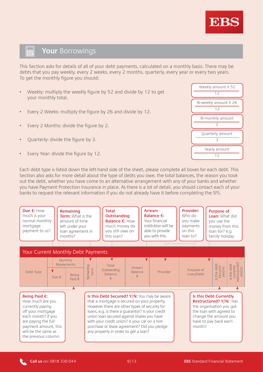

#### 霊 **Your** Borrowings

This Section asks for details of all of your debt payments, calculated on a monthly basis. There may be debts that you pay weekly, every 2 weeks, every 2 months, quarterly, every year or every two years. To get the monthly figure you should:

- Weekly: multiply the weekly figure by 52 and divide by 12 to get your monthly total.
- Every 2 Weeks: multiply the figure by 26 and divide by 12.
- Every 2 Months: divide the figure by 2.
- Quarterly: divide the figure by 3.
- Every Year: divide the figure by 12.

Each debt type is listed down the left-hand side of the sheet, please complete all boxes for each debt. This Section also asks for more detail about the type of debts you owe, the total balances, the reason you took out the debt, whether you have come to an alternative arrangement with any of your banks and whether you have Payment Protection Insurance in place. As there is a lot of detail, you should contact each of your banks to request the relevant information if you do not already have it before completing the SFS.



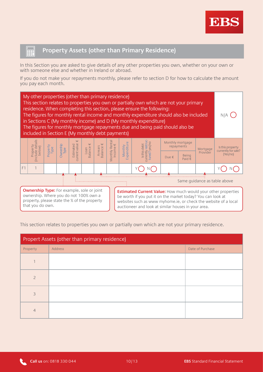

#### 霊 **Property Assets (other than Primary Residence)**

In this Section you are asked to give details of any other properties you own, whether on your own or with someone else and whether in Ireland or abroad.

If you do not make your repayments monthly, please refer to section D for how to calculate the amount you pay each month.



This section relates to properties you own or partially own which are not your primary residence.

| Propert Assets (other than primary residence) |         |                  |  |
|-----------------------------------------------|---------|------------------|--|
| Property                                      | Address | Date of Purchase |  |
|                                               |         |                  |  |
| $\mathcal{P}$                                 |         |                  |  |
| 3                                             |         |                  |  |
| $\overline{4}$                                |         |                  |  |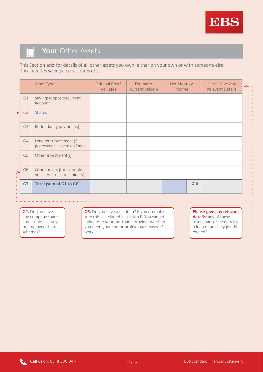

#### E **Your** Other Assets

This Section asks for details of all other assets you own, either on your own or with someone else. This includes savings, cars, shares etc.

|               |                | <b>Asset Type</b>                                         | Original Cost/<br>Value $(\epsilon)$ | Estimated<br>current value $\epsilon$ | Net Monthly<br>Income | Please Give Any<br><b>Relevant Details</b> | -… |
|---------------|----------------|-----------------------------------------------------------|--------------------------------------|---------------------------------------|-----------------------|--------------------------------------------|----|
|               | G1             | Savings/deposits/current<br>account                       |                                      |                                       |                       |                                            |    |
| $\cdot \cdot$ | C <sub>2</sub> | <b>Shares</b>                                             |                                      |                                       |                       |                                            |    |
|               | G <sub>3</sub> | Redundancy payment(s)                                     |                                      |                                       |                       |                                            |    |
|               | G4             | Long-term investment (s)<br>(for example, a pension fund) |                                      |                                       |                       |                                            |    |
|               | G <sub>5</sub> | Other investment(s)                                       |                                      |                                       |                       |                                            |    |
|               | G <sub>6</sub> | Other assets (for example,<br>vehicles, stock, machinery) |                                      |                                       |                       |                                            |    |
|               | G7             | Total (sum of G1 to G6)                                   |                                      |                                       | C10                   |                                            |    |

**G2:** Do you have any company shares, credit union shares, or employee share schemes?

,如果是有的的,也不是有的,也不是有的,也不是有的,也不是有的,也不是有的,也不是有的,也不是有的,也不是有的,也不是有的。

**G6:** Do you have a car loan? If you do make sure this is included in section E. You should indicate to your mortgage provider whether you need your car for professional reasons/ work.

**Please give any relevant**  details: any of these assets part of security for a loan or are they jointly owned?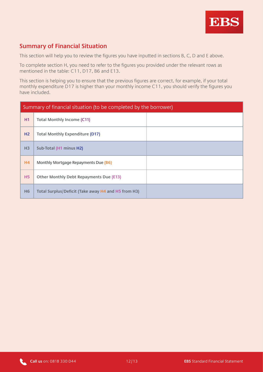

#### **Summary of Financial Situation**

This section will help you to review the figures you have inputted in sections B, C, D and E above.

To complete section H, you need to refer to the figures you provided under the relevant rows as mentioned in the table: C11, D17, B6 and E13.

This section is helping you to ensure that the previous figures are correct, for example, if your total monthly expenditure D17 is higher than your monthly income C11, you should verify the figures you have included.

| Summary of financial situation (to be completed by the borrower) |                                                     |  |  |
|------------------------------------------------------------------|-----------------------------------------------------|--|--|
| H1                                                               | <b>Total Monthly Income (C11)</b>                   |  |  |
| H2                                                               | <b>Total Monthly Expenditure (D17)</b>              |  |  |
| H <sub>3</sub>                                                   | Sub-Total (H1 minus H2)                             |  |  |
| H4                                                               | Monthly Mortgage Repayments Due (B6)                |  |  |
| <b>H5</b>                                                        | <b>Other Monthly Debt Repayments Due (E13)</b>      |  |  |
| H <sub>6</sub>                                                   | Total Surplus/Deficit (Take away H4 and H5 from H3) |  |  |

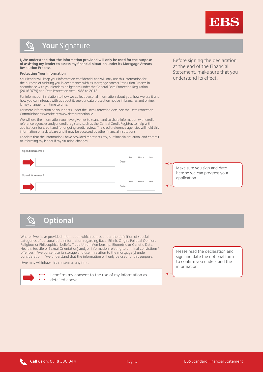

Before signing the declaration at the end of the Financial Statement, make sure that you

understand its effect.

#### **Your** Signature  $\mathcal{O}$

**I/We understand that the information provided will only be used for the purpose of assisting my lender to assess my financial situation under its Mortgage Arrears Resolution Process.** 

#### **Protecting Your Information**

Your lender will keep your information confidential and will only use this information for the purpose of assisting you in accordance with its Mortgage Arrears Resolution Process in accordance with your lender's obligations under the General Data Protection Regulation (2016/679) and Data Protection Acts 1988 to 2018.

For information in relation to how we collect personal information about you, how we use it and how you can interact with us about it, see our data protection notice in branches and online. It may change from time to time.

For more information on your rights under the Data Protection Acts, see the Data Protection Commissioner's website at www.dataprotection.ie

We will use the information you have given us to search and to share information with credit reference agencies and/or credit registers, such as the Central Credit Register, to help with applications for credit and for ongoing credit review. The credit reference agencies will hold this information on a database and it may be accessed by other financial institutions.

I declare that the information I have provided represents my/our financial situation, and commit to informing my lender if my situation changes.



**Optional**   $\mathcal{C}$ 

Where I/we have provided information which comes under the definition of special categories of personal data (information regarding Race, Ethnic Origin, Political Opinion, Religious or Philosophical beliefs, Trade Union Membership, Biometric or Genetic Data, Health, Sex Life or Sexual Orientation) and/or information relating to criminal convictions/ offences, I/we consent to its storage and use in relation to the mortgage(s) under consideration. I/we understand that the information will only be used for this purpose.

I/we may withdraw this consent at any time.



I confirm my consent to the use of my information as detailed above

Please read the declaration and sign and date the optional form to confirm you understand the information.

◢